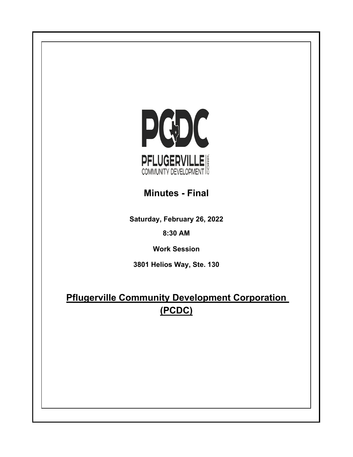

**Minutes - Final**

**Saturday, February 26, 2022**

**8:30 AM**

**Work Session**

**3801 Helios Way, Ste. 130**

**Pflugerville Community Development Corporation (PCDC)**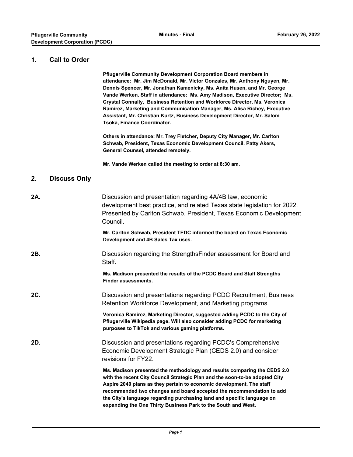## **1. Call to Order**

**Pflugerville Community Development Corporation Board members in attendance: Mr. Jim McDonald, Mr. Victor Gonzales, Mr. Anthony Nguyen, Mr. Dennis Spencer, Mr. Jonathan Kamenicky, Ms. Anita Husen, and Mr. George Vande Werken. Staff in attendance: Ms. Amy Madison, Executive Director; Ms. Crystal Connally, Business Retention and Workforce Director, Ms. Veronica Ramirez, Marketing and Communication Manager, Ms. Alisa Richey, Executive Assistant, Mr. Christian Kurtz, Business Development Director, Mr. Salom Tsoka, Finance Coordinator.**

**Others in attendance: Mr. Trey Fletcher, Deputy City Manager, Mr. Carlton Schwab, President, Texas Economic Development Council. Patty Akers, General Counsel, attended remotely.**

**Mr. Vande Werken called the meeting to order at 8:30 am.**

## **2. Discuss Only**

| 2A. | Discussion and presentation regarding 4A/4B law, economic<br>development best practice, and related Texas state legislation for 2022.<br>Presented by Carlton Schwab, President, Texas Economic Development<br>Council.                                                                                                                                                                                                                            |
|-----|----------------------------------------------------------------------------------------------------------------------------------------------------------------------------------------------------------------------------------------------------------------------------------------------------------------------------------------------------------------------------------------------------------------------------------------------------|
|     | Mr. Carlton Schwab, President TEDC informed the board on Texas Economic<br>Development and 4B Sales Tax uses.                                                                                                                                                                                                                                                                                                                                      |
| 2B. | Discussion regarding the StrengthsFinder assessment for Board and<br>Staff.                                                                                                                                                                                                                                                                                                                                                                        |
|     | Ms. Madison presented the results of the PCDC Board and Staff Strengths<br>Finder assessments.                                                                                                                                                                                                                                                                                                                                                     |
| 2C. | Discussion and presentations regarding PCDC Recruitment, Business<br>Retention Workforce Development, and Marketing programs.                                                                                                                                                                                                                                                                                                                      |
|     | Veronica Ramirez, Marketing Director, suggested adding PCDC to the City of<br>Pflugerville Wikipedia page. Will also consider adding PCDC for marketing<br>purposes to TikTok and various gaming platforms.                                                                                                                                                                                                                                        |
| 2D. | Discussion and presentations regarding PCDC's Comprehensive<br>Economic Development Strategic Plan (CEDS 2.0) and consider<br>revisions for FY22.                                                                                                                                                                                                                                                                                                  |
|     | Ms. Madison presented the methodology and results comparing the CEDS 2.0<br>with the recent City Council Strategic Plan and the soon-to-be adopted City<br>Aspire 2040 plans as they pertain to economic development. The staff<br>recommended two changes and board accepted the recommendation to add<br>the City's language regarding purchasing land and specific language on<br>expanding the One Thirty Business Park to the South and West. |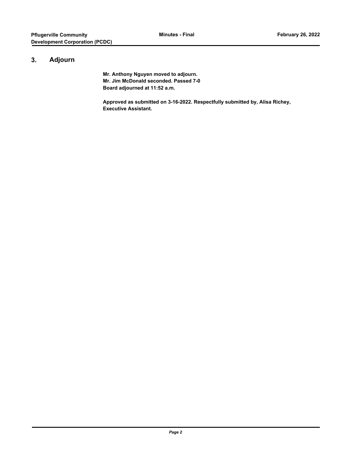## **3. Adjourn**

**Mr. Anthony Nguyen moved to adjourn. Mr. Jim McDonald seconded. Passed 7-0 Board adjourned at 11:52 a.m.**

**Approved as submitted on 3-16-2022. Respectfully submitted by, Alisa Richey, Executive Assistant.**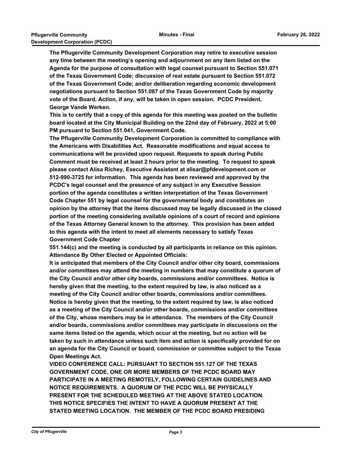**The Pflugerville Community Development Corporation may retire to executive session any time between the meeting's opening and adjournment on any item listed on the Agenda for the purpose of consultation with legal counsel pursuant to Section 551.071 of the Texas Government Code; discussion of real estate pursuant to Section 551.072 of the Texas Government Code; and/or deliberation regarding economic development negotiations pursuant to Section 551.087 of the Texas Government Code by majority vote of the Board. Action, if any, will be taken in open session. PCDC President, George Vande Werken.** 

**This is to certify that a copy of this agenda for this meeting was posted on the bulletin board located at the City Municipal Building on the 22nd day of February, 2022 at 5:00 PM pursuant to Section 551.041, Government Code.**

**The Pflugerville Community Development Corporation is committed to compliance with the Americans with Disabilities Act. Reasonable modifications and equal access to communications will be provided upon request. Requests to speak during Public Comment must be received at least 2 hours prior to the meeting. To request to speak please contact Alisa Richey, Executive Assistant at alisar@pfdevelopment.com or 512-990-3725 for information. This agenda has been reviewed and approved by the PCDC's legal counsel and the presence of any subject in any Executive Session portion of the agenda constitutes a written interpretation of the Texas Government Code Chapter 551 by legal counsel for the governmental body and constitutes an opinion by the attorney that the items discussed may be legally discussed in the closed portion of the meeting considering available opinions of a court of record and opinions of the Texas Attorney General known to the attorney. This provision has been added to this agenda with the intent to meet all elements necessary to satisfy Texas Government Code Chapter** 

**551.144(c) and the meeting is conducted by all participants in reliance on this opinion. Attendance By Other Elected or Appointed Officials:**

**It is anticipated that members of the City Council and/or other city board, commissions and/or committees may attend the meeting in numbers that may constitute a quorum of the City Council and/or other city boards, commissions and/or committees. Notice is hereby given that the meeting, to the extent required by law, is also noticed as a meeting of the City Council and/or other boards, commissions and/or committees. Notice is hereby given that the meeting, to the extent required by law, is also noticed as a meeting of the City Council and/or other boards, commissions and/or committees of the City, whose members may be in attendance. The members of the City Council and/or boards, commissions and/or committees may participate in discussions on the same items listed on the agenda, which occur at the meeting, but no action will be taken by such in attendance unless such item and action is specifically provided for on an agenda for the City Council or board, commission or committee subject to the Texas Open Meetings Act.** 

**VIDEO CONFERENCE CALL: PURSUANT TO SECTION 551.127 OF THE TEXAS GOVERNMENT CODE, ONE OR MORE MEMBERS OF THE PCDC BOARD MAY PARTICIPATE IN A MEETING REMOTELY, FOLLOWING CERTAIN GUIDELINES AND NOTICE REQUIREMENTS. A QUORUM OF THE PCDC WILL BE PHYSICALLY PRESENT FOR THE SCHEDULED MEETING AT THE ABOVE STATED LOCATION. THIS NOTICE SPECIFIES THE INTENT TO HAVE A QUORUM PRESENT AT THE STATED MEETING LOCATION. THE MEMBER OF THE PCDC BOARD PRESIDING**